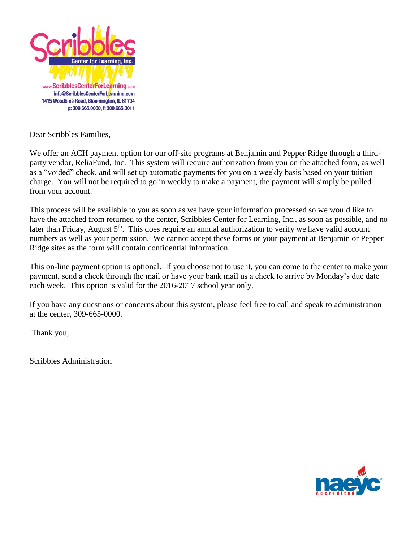

Dear Scribbles Families,

We offer an ACH payment option for our off-site programs at Benjamin and Pepper Ridge through a thirdparty vendor, ReliaFund, Inc. This system will require authorization from you on the attached form, as well as a "voided" check, and will set up automatic payments for you on a weekly basis based on your tuition charge. You will not be required to go in weekly to make a payment, the payment will simply be pulled from your account.

This process will be available to you as soon as we have your information processed so we would like to have the attached from returned to the center, Scribbles Center for Learning, Inc., as soon as possible, and no later than Friday, August  $5<sup>th</sup>$ . This does require an annual authorization to verify we have valid account numbers as well as your permission. We cannot accept these forms or your payment at Benjamin or Pepper Ridge sites as the form will contain confidential information.

This on-line payment option is optional. If you choose not to use it, you can come to the center to make your payment, send a check through the mail or have your bank mail us a check to arrive by Monday's due date each week. This option is valid for the 2016-2017 school year only.

If you have any questions or concerns about this system, please feel free to call and speak to administration at the center, 309-665-0000.

Thank you,

Scribbles Administration